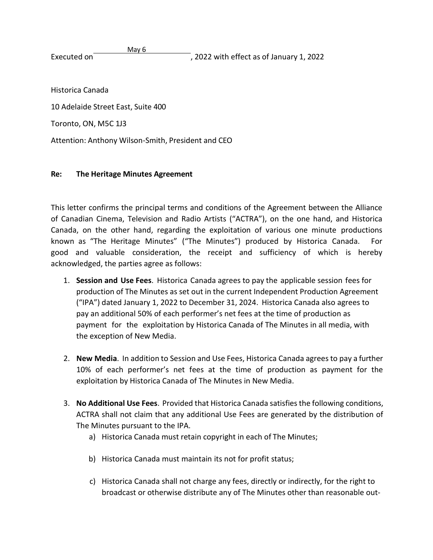May 6 Executed on **Executed on** Executed on **EXECUTE:** 2022 with effect as of January 1, 2022

Historica Canada

10 Adelaide Street East, Suite 400

Toronto, ON, M5C 1J3

Attention: Anthony Wilson-Smith, President and CEO

## **Re: The Heritage Minutes Agreement**

This letter confirms the principal terms and conditions of the Agreement between the Alliance of Canadian Cinema, Television and Radio Artists ("ACTRA"), on the one hand, and Historica Canada, on the other hand, regarding the exploitation of various one minute productions known as "The Heritage Minutes" ("The Minutes") produced by Historica Canada. For good and valuable consideration, the receipt and sufficiency of which is hereby acknowledged, the parties agree as follows:

- 1. **Session and Use Fees**. Historica Canada agrees to pay the applicable session fees for production of The Minutes as set out in the current Independent Production Agreement ("IPA") dated January 1, 2022 to December 31, 2024. Historica Canada also agrees to pay an additional 50% of each performer's net fees at the time of production as payment for the exploitation by Historica Canada of The Minutes in all media, with the exception of New Media.
- 2. **New Media**. In addition to Session and Use Fees, Historica Canada agreesto pay a further 10% of each performer's net fees at the time of production as payment for the exploitation by Historica Canada of The Minutes in New Media.
- 3. **No Additional Use Fees**. Provided that Historica Canada satisfiesthe following conditions, ACTRA shall not claim that any additional Use Fees are generated by the distribution of The Minutes pursuant to the IPA.
	- a) Historica Canada must retain copyright in each of The Minutes;
	- b) Historica Canada must maintain its not for profit status;
	- c) Historica Canada shall not charge any fees, directly or indirectly, for the right to broadcast or otherwise distribute any of The Minutes other than reasonable out-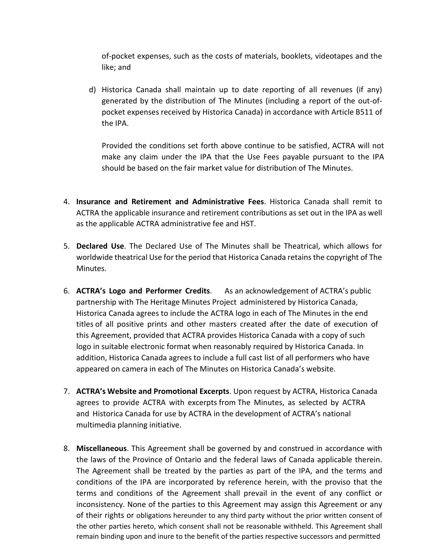of-pocket expenses, such as the costs of materials, booklets, videotapes and the like; and

d) Historica Canada shall maintain up to date reporting of all revenues (if any) generated by the distribution of The Minutes (including a report of the out-ofpocket expenses received by Historica Canada) in accordance with Article B511 of the IPA.

Provided the conditions set forth above continue to be satisfied, ACTRA will not make any claim under the IPA that the Use Fees payable pursuant to the IPA should be based on the fair market value for distribution of The Minutes.

- 4. **Insurance and Retirement and Administrative Fees**. Historica Canada shall remit to ACTRA the applicable insurance and retirement contributions as set out in the IPA as well as the applicable ACTRA administrative fee and HST.
- 5. **Declared Use**. The Declared Use of The Minutes shall be Theatrical, which allows for worldwide theatrical Use for the period that Historica Canada retainsthe copyright of The Minutes.
- 6. **ACTRA's Logo and Performer Credits**. As an acknowledgement of ACTRA's public partnership with The Heritage Minutes Project administered by Historica Canada, Historica Canada agrees to include the ACTRA logo in each of The Minutes in the end titles of all positive prints and other masters created after the date of execution of this Agreement, provided that ACTRA provides Historica Canada with a copy of such logo in suitable electronic format when reasonably required by Historica Canada. In addition, Historica Canada agrees to include a full cast list of all performers who have appeared on camera in each of The Minutes on Historica Canada's website.
- 7. **ACTRA's Website and Promotional Excerpts**. Upon request by ACTRA, Historica Canada agrees to provide ACTRA with excerpts from The Minutes, as selected by ACTRA and Historica Canada for use by ACTRA in the development of ACTRA's national multimedia planning initiative.
- 8. **Miscellaneous**. This Agreement shall be governed by and construed in accordance with the laws of the Province of Ontario and the federal laws of Canada applicable therein. The Agreement shall be treated by the parties as part of the IPA, and the terms and conditions of the IPA are incorporated by reference herein, with the proviso that the terms and conditions of the Agreement shall prevail in the event of any conflict or inconsistency. None of the parties to this Agreement may assign this Agreement or any of their rights or obligations hereunder to any third party without the prior written consent of the other parties hereto, which consent shall not be reasonable withheld. This Agreement shall remain binding upon and inure to the benefit of the parties respective successors and permitted